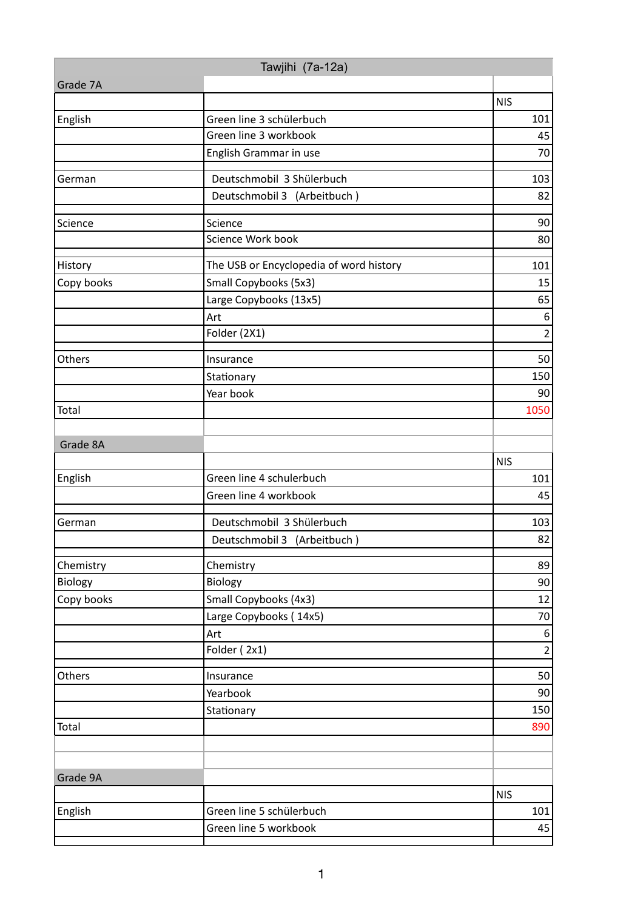| Tawjihi (7a-12a) |                                         |                  |  |  |
|------------------|-----------------------------------------|------------------|--|--|
| Grade 7A         |                                         |                  |  |  |
|                  |                                         | <b>NIS</b>       |  |  |
| English          | Green line 3 schülerbuch                | 101              |  |  |
|                  | Green line 3 workbook                   | 45               |  |  |
|                  | English Grammar in use                  | 70               |  |  |
| German           | Deutschmobil 3 Shülerbuch               | 103              |  |  |
|                  | Deutschmobil 3 (Arbeitbuch)             | 82               |  |  |
| Science          | Science                                 | 90               |  |  |
|                  | Science Work book                       | 80               |  |  |
| History          | The USB or Encyclopedia of word history | 101              |  |  |
| Copy books       | Small Copybooks (5x3)                   | 15               |  |  |
|                  | Large Copybooks (13x5)                  | 65               |  |  |
|                  | Art                                     | $\boldsymbol{6}$ |  |  |
|                  | Folder (2X1)                            | $\overline{2}$   |  |  |
| Others           | Insurance                               | 50               |  |  |
|                  | Stationary                              | 150              |  |  |
|                  | Year book                               | 90               |  |  |
| Total            |                                         | 1050             |  |  |
|                  |                                         |                  |  |  |
| Grade 8A         |                                         | <b>NIS</b>       |  |  |
| English          | Green line 4 schulerbuch                | 101              |  |  |
|                  | Green line 4 workbook                   | 45               |  |  |
|                  |                                         |                  |  |  |
| German           | Deutschmobil 3 Shülerbuch               | 103              |  |  |
|                  | Deutschmobil 3 (Arbeitbuch)             | 82               |  |  |
| Chemistry        | Chemistry                               | 89               |  |  |
| Biology          | Biology                                 | 90               |  |  |
| Copy books       | Small Copybooks (4x3)                   | 12               |  |  |
|                  | Large Copybooks (14x5)                  | 70               |  |  |
|                  | Art                                     | $\boldsymbol{6}$ |  |  |
|                  | Folder (2x1)                            | $\overline{2}$   |  |  |
| Others           | Insurance                               | 50               |  |  |
|                  | Yearbook                                | 90               |  |  |
|                  | Stationary                              | 150              |  |  |
| Total            |                                         | 890              |  |  |
|                  |                                         |                  |  |  |
| Grade 9A         |                                         |                  |  |  |
|                  |                                         | <b>NIS</b>       |  |  |
| English          | Green line 5 schülerbuch                | 101              |  |  |
|                  | Green line 5 workbook                   | 45               |  |  |
|                  |                                         |                  |  |  |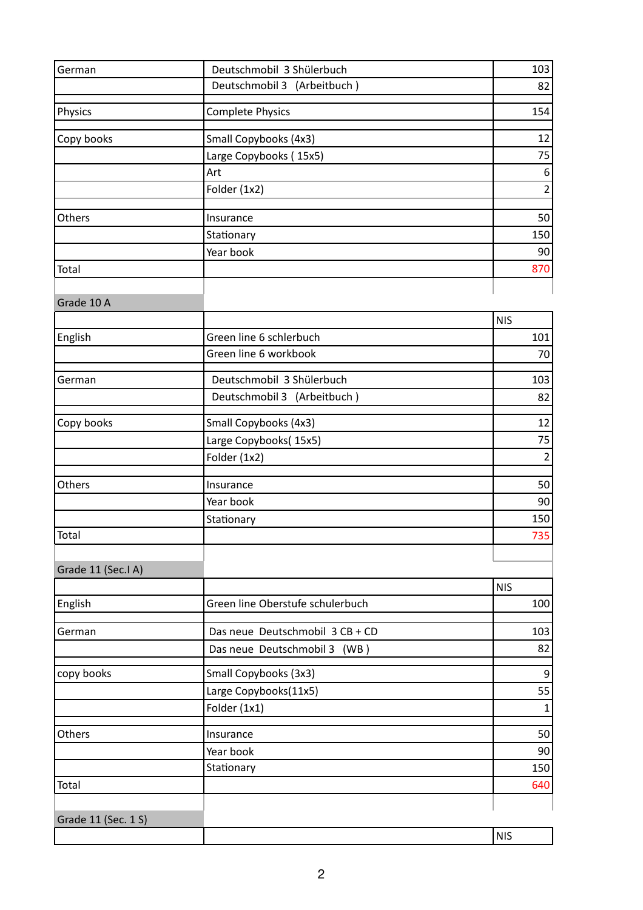| German              | Deutschmobil 3 Shülerbuch        | 103               |
|---------------------|----------------------------------|-------------------|
|                     | Deutschmobil 3 (Arbeitbuch)      | 82                |
| Physics             | <b>Complete Physics</b>          | 154               |
| Copy books          | Small Copybooks (4x3)            | 12                |
|                     | Large Copybooks (15x5)           | 75                |
|                     | Art                              | $\boldsymbol{6}$  |
|                     | Folder (1x2)                     | $\overline{2}$    |
|                     |                                  |                   |
| Others              | Insurance                        | 50                |
|                     | Stationary                       | 150               |
|                     | Year book                        | 90                |
| Total               |                                  | 870               |
| Grade 10 A          |                                  |                   |
|                     |                                  | <b>NIS</b>        |
| English             | Green line 6 schlerbuch          | 101               |
|                     | Green line 6 workbook            | 70                |
| German              | Deutschmobil 3 Shülerbuch        | 103               |
|                     | Deutschmobil 3 (Arbeitbuch)      | 82                |
|                     |                                  |                   |
| Copy books          | Small Copybooks (4x3)            | 12                |
|                     | Large Copybooks(15x5)            | 75                |
|                     | Folder (1x2)                     | $\overline{2}$    |
| Others              | Insurance                        | 50                |
|                     | Year book                        | 90                |
|                     | Stationary                       | 150               |
| Total               |                                  | 735               |
|                     |                                  |                   |
| Grade 11 (Sec.I A)  |                                  |                   |
|                     | Green line Oberstufe schulerbuch | <b>NIS</b><br>100 |
| English             |                                  |                   |
| German              | Das neue Deutschmobil 3 CB + CD  | 103               |
|                     | Das neue Deutschmobil 3 (WB)     | 82                |
| copy books          | Small Copybooks (3x3)            | $\boldsymbol{9}$  |
|                     | Large Copybooks(11x5)            | 55                |
|                     | Folder (1x1)                     | $\mathbf 1$       |
| Others              | Insurance                        | 50                |
|                     | Year book                        | 90                |
|                     | Stationary                       | 150               |
| Total               |                                  | 640               |
|                     |                                  |                   |
| Grade 11 (Sec. 1 S) |                                  | <b>NIS</b>        |
|                     |                                  |                   |